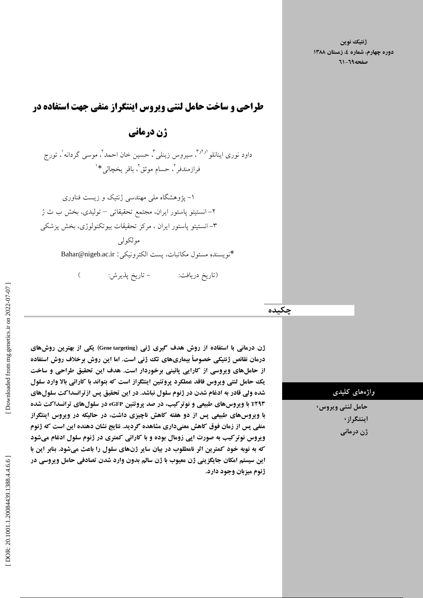طراحي و ساخت حامل لنتي ويروس اينتگراز منفي جهت استفاده در

ژن درماني

داود نوری اینانلو <sup>او آو</sup>"، سیروس زینلی<sup>"</sup>، حسین خان احمد<sup>٬</sup>، موسی گردانه<sup>۱</sup>، تورج  $\overline{a}$ فرازمندفر<sup>٬</sup>، حسام موثق٬ باقر يخچال<sub>ى</sub> \*<sup>١</sup>

۱– پژوهشکاه ملی مهندسی ژنتیک و زیست فناوری ۲– انستیتو پاستور ایران، مجتمع تحقیقاتی — تولیدی، بخش ب ث ژ ۳– انستیتو پاستور ایران ، مرکز تحقیقات بیوتکنولوژی، بخش پزشکی مولکولی

> \*نويسنده مسئول مكاتبات، پست الكترونيكى: Bahar@nigeb.ac.ir j

> > (تاريخ دريافت:

( – تاريخ پديرش:

چکیده

ژن درمانی با استفاده از روش هدف گیری ژنی (Gene targeting) یکی از بهترین روش**ها**ی درمان نقائص ژنتيكى خصوصاً بيمارىهاى تك ژنى است. اما اين روش برخلاف روش استفاده از حاملهای ویروسی از کارایی پائینی برخوردار است. هدف این تحقیق طراحی و ساخت يک حامل لنتي ويروس فاقد عملکرد پروتئين اينتگراز است که بتواند با کارائي بالا وارد سلول شده ولي قادر به ادغام شدن در ژنوم سلول نباشد. در اين تحقيق پس از ترانسداكت سلولهای **T۲۹۳ با ویروسهای طبیعی و نوتركیب، در صد پروتئین eGFP در سلولهای ترانسداكت شده** با ویروسهای طبیعی پس از دو هفته کاهش ناچیزی داشت، در حالیکه در ویروس اینتگراز منفي پس از زمان فوق كاهش معنىدارى مشاهده گرديد. نتايج نشان دهنده اين است كه ژنوم ویروس نوتر کیب به صورت اپی زومال بوده و با کارائی کمتری در ژنوم سلول ادغام میشود که به نوبه خود کمترين اثر نامطلوب در بيان ساير ژنهاي سلول را باعث ميشود. بنابر اين با این سیستم امکان جایگزینی ژن معیوب با ژن سالم بدون وارد شدن تصادفی حامل ویروسی در ژنوم ميزبان وجود دارد.

#### واژەھای كليدى

۔<br>حامل لنتي ويروس<sup>،</sup> ۔<br>اینتگراز َ ژن درمانی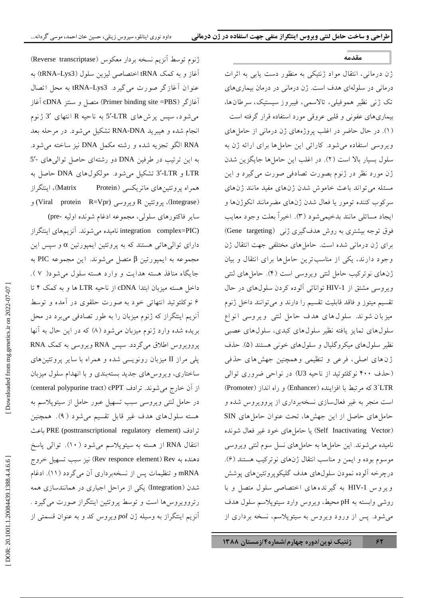#### مقدمه

I

.<br>ژن درمانی، انتقال مواد ژنتیکی به منظور دست بایر به اثرات درمانی در سلولهای هدف است. ژن درمانی در درمان بیماری های .<br>تک ژنبي نظير هموفيلي، تالاسمي، فيبروز سيستيک، سرطانها، پیماری های عفونی و قلبی عروقی مورد استفاده قرار گرفته است .<br>(۱). در حال حاضر در اغلب یروژههای ژن درمانی از حامل های و بروسے استفاده مرشود. کارائے این جامل ها برای ارائه ژن به سلول بسار بالا است (۲). در اغلب این حامل ها جایگزین شدن .<br>ژن مورد نظر در ژنوم بصورت تصادف*ی ص*ورت مرگیرد و این .<br>مسئله مر تواند باعث خاموش شدن ژنهای مفید مانند ژنهای سرکوب کننده تومور یا فعال شدن ژنهای مضرمانند انکوژنها و ابجاد مسائله مانند بدخیمه شود (۳). اخیراً بعلت وجود معایب .<br>فوق توجه بیشتری به روش هدفگیری ژنبی (Gene targeting) برای ژن درمانی شده است. حاملهای مختلفی جهت انتقال ژن .<br>وجود دارند، یکی از مناسبترین حاملها برای انتقال و بیان .<br>ژن های نو ترکیب حامل لنتر ویروسر است (۴). حامل های لنتر ویروسی مشتق از HIV-1 توانائی آلوده کردن سلولهای در حال .<br>تقسیم میتوز و فاقد قابلیت تقسیم را دارند و می توانند داخل ژنوم ميزيان شوند. سلول هاي هدف حامل لنتي ويروسي أنواع سلول های تماین بافته نظیر سلول های کیدی، سلول های عصب .<br>نظیر سلول های میکرو گلپال و سلول های خونی هستند (۵). حذف .<br>: ن های اصلي، فرعي و تنظيمي و همچنين جهش های حذفي (حذف ۴۰۰ نوکلئوتید از ناحیه U3) در نواحی ضروری توالی (Promoter ) ' 1 ( (Enhancer ) 1 A% - ^)\$ = 3´LTR .<br>است منجر به غیر فعالسازی نسخهبرداری از یروویروس شده و ۔<br>حامل های حاصل از این جهش ها، تحت عنوان حامل های SIN (Self Inactivating Vector) یا حامل های خود غیر فعال شونده .<br>نامیده مرشوند. این حامل ها به حامل های نسل سوم لنتر و بروسر  $\vdots$ موسوم بوده و ايمن و مناسب انتقال ژنهاي نوتركب هستند (۶). درجرخه آلو ده نمو دن سلولهای هدف گلیکو بروتئینهای بوشش و یر و س HIV-1 به گیر ندههای اختصاصی سلول متصل و با روشي وابسته به pH محيط، ويروس وارد سيتويلاسم سلول هدف .<br>می شود. پس از ورود ویروس به سیتویلاسم، نسخه برداری از

ژنوم توسط آنزیم نسخه بردار معکوس (Reverse transcriptase) .<br>أغاز و به كمك tRNA اختصاصي ليزين سلول (tRNA–Lys3) به عنوان أغازگر صورت مي گيرد. tRNA–Lys3 به محل اتصال .<br>آغازگر (Primer binding site =PBS) متصل و سنتز DNA آغاز می شو د، سپس پر ش های LTR-ک<sup>5</sup> به ناحیه R انتهای گ<sup>3</sup> ژنوم انجام شده و هیبرید RNA-DNA تشکیل می شود. در مرحله بعد .<br>RNA الگو تجزيه شده و رشته مكمل DNA نيز ساخته مي شود. .<br>به این ترتیب در طرفین DNA دو رشتهای حاصل توالی های -5 LTR و LTR تشكيل مي شود. مولكولهاي DNA حاصل به اينتگر از همراه پروتئینهای ماتریکسی (Matrix Protein)، (Integrase)، يووتئين R ويووسي (Viral protein R=Vpr) و ساير فاكتورهاي سلولي، مجموعه ادغام شونده اوليه -pre) integration complex=PIC) نامیده می شوند. آنزیمهای اینتگراز  $\vdots$ دارای توالی هائی هستند که به یروتئین ایمیورتین α و سیس این  $\rm{PIC}$  مجموعه به ايميورتين  $\beta$  متصل مي شوند. اين مجموعه PIC به حایگاه منافذ هسته هدایت و وارد هسته سلول مرشود( ۷). داخل هسته میزبان ابتدا cDNA از ناحیه LTR ها و به کمک ۴ تا ۶ نو کلئو تيد انتهائي خو د په صورت حلقوي در آمده و توسط .<br>آنزیم اینتگراز که ژنوم میزبان را به طور تصادفی می برد در محل بريده شده وارد ژنوم ميزيان مرشود (۸) كه در اين حال به آنها یو وویووس اطلاق می گردد. سپس RNA ویروسی به کمک RNA یلی مراز II میزبان رونویسی شده و همراه با سایر پروتئین های ساختاري، و پروس هاي جديد بستهيندي و يا انهدام سلول ميزيان از آن خارج می شوند. ترادف (centeral polypurine tract) cPPT در حامل لنتی ویروسی سبب تسهیل عبور حامل از سیتوپلاسم به هسته سلول های هدف غیر قابل تقسیم مرشو د ( ۹). همچنین ترادف (PRE (posttranscriptional regulatory element) باعث J .<br>انتقال RNA از هسته به سیتوپلاسم می شود ( ۱۰). توالی پاسخ .<br>د دهنده به Rev responce element) Rev) نیز سبب تسهیل خروج mRNA و تنظیمات پس از نسخهبرداری اَن می گردد (۱۱). ادغام شدن (Integration) یکی از مراحل اجباری در همانندسازی همه رتروویروس ها است و توسط پروتئین اینتگراز صورت می گیرد . .<br>آنزیم اینتگراز به وسیله ژن pol ویروس کد و به عنوان قسمتی از

```
 [ DOR: 20.1001.1.20084439.1388.4.4.6.6 ] [ Downloaded from mg.genetics.ir on 2022-07-07 ] 
Downloaded from mg.genetics.ir on 2022-07-07
```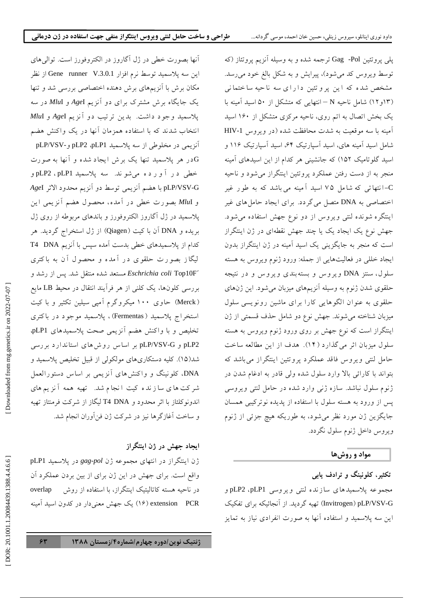.<br>آنها بصورت خطي در ژل اگاروز در الکتروفورز است. توال<sub>ي</sub> هاي اين سه يلاسميد توسط نرم افزار Gene runner V.3.0.1 از نظر مکان برش با آنزیههای برش دهنده اختصاص<sub>ت</sub> بررس*ی* شد و تنها یک جایگاه برش مشترک برای دو آنزیم AgeI و InuI در سه .<br>يلاسمي*د وجو د داشت. بدين ترتيب دو آنزيم Age*I *و Mlu*I .<br>انتخاب شدند که با استفاده همزمان آنها در یک واکنش هضم .<br>آنزیمی در مخلوطی از سه پلاسمید pLP2 ،pLP1 و-pLP/VSV .<br>Gدر هر یلاسمید تنها یک برش ایجاد شده و آنها به صورت .<br>خطی در آورده می شوند. سه پلاسمید pLP2 ، pLP1 و .<br>pLP/VSV-G با هضم آنزیمی توسط دو آنزیم محدود الاثر A*ge*I  $\overline{a}$ و MluI بصورت خطي در آمده، محصول هضم آنزيمي اين .<br>پلاسمید در ژل آگاروز الکتروفورز و باندهای مربوطه از روی ژل بو یده و DNA آن با کیت (Qiagen) از ژل استخراج گردید. هر .<br>کدام از یلاسمیدهای خطی بدست آمده سیس با آنزیم T4 DNA .<br>لیگاز بصورت حلقوی در آمده و محصول آن به باکتری .<br>Eschrichia coli Top10F´ مستعد شده منتقل شد. پس از رشد و بررسی کلونها، یک کلنی از هر فرآیند انتقال در محیط LB مایع (Merck) حاوی ۱۰۰ میکروگرم آمیی سیلین تکثیر و با کیت .<br>استخراج پلاسمید ( Fermentas)، پلاسمید موجود در باکتری .<br>تخلیص و با واکنش هضم آنزیمی صحت یلاسمیدهای pLP1 .<br>pLP2 و pLP/VSV-G بر اساس روش های استاندارد بررسی .<br>شد(۱۵). کلیه دستکاریهای مولکولی از قبیل تخلیص یلاسمید و .<br>DNA، کلونینگ و واکنش های آنزیمی بر اساس دستورالعمل .<br>شرکت ها ی سا زند ه کیت انجام شد. تهیه همه آنزیم های .<br>اندونوکلئاز با اثر محدود و T4 DNA لیگاز از شرکت فرمنتاز تهیه و ساخت اَغازگرها نیز در شرکت ژِن فنآوران انجام شد.

#### یجاد جهش در ژن اینتگراز  $\overline{\phantom{a}}$

.<br>ژن اینتگراز در انتهای مجموعه ژن gag*-pol* در یلاسمید pLP1 واقع است. برای جهش در این ژن برای از بین بردن عملکرد آن در ناحیه هسته کاتالیتیک اینتگراز، با استفاده از روش overlap extension PCR) یک جهش معنی دار در کدون اسید آمینه یلی یروتئین Gag -Pol ترجمه شده و به وسیله آنزیم یروتئاز (که .<br>توسط ویروس کد مرشود)، پیرایش و به شکل بالغ خود مررسد. .<br>مشخص شده که این برو تئین دارای سه ناحیه ساختمانی .<br>(۱۳و۱۲) شامل ناحیه N –انتهایی که متشکل از ۵۰ اسید آمینه با یک بخش اتصال به اتم روی، ناحیه مرکزی متشکل از ۱۶۰ اسید .<br>آمینه با سه موقعیت به شدت محافظت شده (در ویروس HIV-1 شامل اسید آمینه های، اسید آسیار تیک ۶۴، اسید آسیار تیک ۱۱۶ و .<br>اسید گلوتامیک ۱۵۲) که جانشینی هر کدام از این اسیدهای آمینه منجر به از دست رفتن عملکرد پروتئین اینتگراز می شود و ناحیه ۔<br>C-انتھائی که شامل ۷۵ اسید آمینه می باشد که به طور غیر  $\overline{a}$ .<br>اختصاصی به DNA متصل می گردد. برای ایجاد حامل های غیر اینتگره شونده لنتی ویروس از دو نوع جهش استفاده می شود. .<br>جهش نوع یک ایجاد یک یا چند جهش نقطهای در ژن اینتگراز ۔<br>است که منجر به جایگزینی یک اسید اَمینه در ژن اینتگراز بدون ايجاد خللي در فعاليتهايي از جمله: ورود ژنوم ويروس به هسته سلول، سنتز DNA ویروس و بستهبندی ویروس و در نتیجه حلقوي شدن ژنوم په وسيله آنزيېږهاي ميزبان مرشود. اين ژنهاي ۔<br>حلقوی به عنوان الگوهایی کارا برای ماشین رونویسی سلول .<br>ميزبان شناخته مي شوند. جهش نوع دو شامل حذف قسمتي از ژن اینتگراز است که نوع جهش بر روی ورود ژنوم ویروس به هسته سلول میزبان اثر می گذارد (۱۴). هدف از این مطالعه ساخت حامل لنتبي ويروس فاقد عملكرد يروتئين اينتگراز مي باشد كه J .<br>پتواند با کارائے پالا وارد سلول شدہ ولی قادر به ادغام شدن در J .<br>ژنوم سلول نباشد. سازه ژنبي وارد شده در حامل لنت*بي و*يروسي یس از ورود به هسته سلول با استفاده از یدیده نوترکیبی همسان جايگزين ژن مورد نظر مي شود، به طوريكه هيچ جزئي از ژنوم و پروس داخل ژنوم سلول نگردد.

## مواد و روشها

J

تکثیر، کلونینگ و ترادف یابی

.<br>مجموعه يلاسميدهاي سازنده لنتي ويروسي pLP2 ،pLP1 و Invitrogen) pLP/VSV-G) تهیه گردید. از آنجائیکه برای تفکیک این سه یلاسمید و استفاده آنها به صورت انفرادی نیاز به تمایز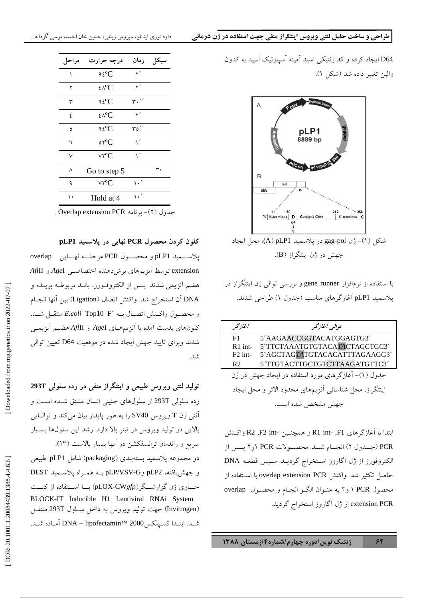.<br>D64 ایجاد کرده و کد ژنتیکی اسید آمینه آسیارتیک اسید به کدون .والين تغيبر داده شد (شكل ۱).

٦



.<br>با استفاده از نرمافزار gene runner و بررسی توالی ژن اینتگراز در J .<br>پلاسمید pLP1 آغازگر های مناسب (جدول ۱) طراحی شدند.

| أغازتحر                                                | توالي أغازگر                  |  |  |  |
|--------------------------------------------------------|-------------------------------|--|--|--|
| F1.                                                    | 5'AAGAACCGGTACATGGAGTG3'      |  |  |  |
| $R1$ int-                                              | 5 TTCTAAATGTGTACATACTAGCTGC3  |  |  |  |
| $F2$ int-                                              | 5'AGCTAGTATGTACACATTTAGAAGG3' |  |  |  |
| R2                                                     | 5'TTGTACTTGCTGTCTTAAGATGTTC3' |  |  |  |
| جدول (١)- آغازگرهای مورد استفاده در ایجاد جهش در ژن    |                               |  |  |  |
| اينتگراز. محل شناسائي آنزيمهاي محدود الاثر و محل ايجاد |                               |  |  |  |
| جهش مشخص شده است.                                      |                               |  |  |  |

ابتدا با آغازگرهای R1 int- ,F1 و همچنــین -R2 ,F2 int واکــنش .<br>PCR (جــدول ۲) انجــام شــد. محصــولات PCR ۱و۲ يــس از الكتروفورز از ژل آگاروز اسـتخراج گرديــد. سـيس قطعــه DNA حاصل تكثير شد. واكنش overlap extension PCR با استفاده از J .<br>محصول PCR ا و ۲ به عنـوان الگــو انجـام و محصــول overlap .extension PCR از ژل آگاروز استخراج گردید.

| مراحل        | درجه حرارت                                        | زمان            | سيكل |
|--------------|---------------------------------------------------|-----------------|------|
| ١            | $92^{\circ}C$                                     | ۲′              |      |
| ٢            | ٤٨°C                                              | ۲′              |      |
| ٣            | ۹٤°C                                              | ٬٬              |      |
| ٤            | $\mathcal{L}\wedge^{\mathbf{0}}\mathbf{C}$        | ۲′              |      |
| ٥            | ۹٤°C                                              | ″ه۳             |      |
| ٦            | $\circ$ ۲°C                                       | ۱ŕ              |      |
| ٧            | $\vee$ r $^{\mathrm{o}}$ C                        | $\sqrt{ }$      |      |
| ٨            | Go to step 5                                      |                 | ٣٠   |
| ٩            | ٧٢ <sup>o</sup> C                                 | $\cdot$ $\cdot$ |      |
| ۱.           | Hold at 4                                         | ٬ ۰             |      |
| $\mathbf{I}$ | $\mathbf{r}$ is non $\mathbf{r}$ (i) $\mathbf{r}$ |                 |      |

.-<br>جدول (٢)- برنامه Overlap extension PCR

کلون کردن محصول PCR نهایی در پلاسمید pLP1

.<br>پلاســـميد pLP1 و محصـــول PCR مرحلـــه نهـــايي overlap extension توسط آنزیمهای برش دهنده اختصاصبی A*ge*I و *Afl*II .<br>هضم آنزیمی شدند. یــس از الکتروفـورز، بانــد مربوطــه بریــده و .<br>DNA آن استخراج شد. واكنش اتصال (Ligation) بين أنها انجــام و محصــول واكــنش اتصــال بــه <sup>ــ</sup>E.coli Top10 F منتقــل شــد. كلونهاى بدست آمده با آنزيمهــاى AgeI و Af<sup>f</sup>III هضــم آنزيمــي .<br>شدند وبرای تایید جهش ایجاد شده در موقعیت D64 تعیین توالی .<br>شد.

تولید لنتی ویروس طبیعی و اینتگراز منفی در رده سلولی 293T رده سلولی 293T از سلولهای جنینی انسان مشتق شـده اسـت و .<br>آنتی ژن T ویروس SV40 را به طور پایدار بیان میکند و توانــایی ۔<br>بالائے در تولید ویروس در تیتر بالا دارد. رشد این سلولها بسیار .سريع و راندمان ترانسفكشن در آنها بسيار بالاست (١٣). دو مجموعه يلاسميد بستهبندي (packaging) شامل pLP1 طبيعي و جهش يافته، pLP/VSV-G و pLP/VSV-G بــه همــراه يلاســـميد DEST حساوی ژن گزارشـــگر (pLOX-CW*gfp)* بــا اســتفاده از کیـــت BLOCK-IT Inducible H1 Lentiviral RNAi System (Invitrogen) جهت توليد ويروس به داخل ســلول 293T منتقــل شـد. ابتـدا كمـيلكس2000 DNA – lipofectamin™ أمـاده شـد.

J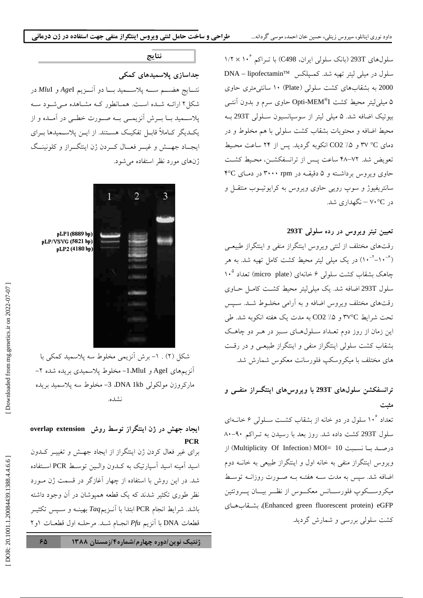سلولهای 293T (بانک سلولی ایران، C498) با تـراکم ۱۰<sup>۶ × ۱</sup>/۲  $\overline{a}$ J سلول در میلی لیتر تھیه شد. کمـیلکس ™DNA – lipofectamin .<br>2000 به بشقابهای کشت سلولی (Plate) ۱۰ سانتی متری حاوی ۵ میلی لیتر محیط کشت Opti-MEM®I حاوی سرم و بدون آنتــی بیوتیک اضافه شد. ۵ میلی لیتر از سوسیانسیون ســلولی 293T بــه محيط اضافه و محتويات بشقاب كشت سلول<sub>،</sub> با هم مخلوط و در J دمای C° ۷° و ۵٪ CO2 انکوبه گردید. پس از ۲۴ ساعت محـیط ..<br>تعویض شد. ۷۲–۴۸ ساعت پس از ترانسفکشــن، محـیط کشــت حاوی ویروس برداشـته و ۵ دقیقــه در ۳pm ۳۰۰۰ در دمـای ۴°C سانتر بفيوژ و سوب روپي جاوي ويروس په کرايو تب پ منتقبل و در ۷۰°۷ – نگهداری شد.

#### تعیین تیتر ویروس در رده سلول*ی 2*93T

رقتهای مختلف از لنتی ویروس اینتگراز منفی و اینتگراز طبیعـی<br>(۱۰<sup>-۲</sup>-۱۰) در یک میلم لیت محیط کشت کامل تهیه شد. به ه  $\overline{1}$ -<br>۱۰<sup>-۶- ۱</sup>۱) در یک میلی لیتر محیط کشت کامل تهیه شد. به هی باهک بشقاب کشت سلولی ۶ خانهای (micro plate) تعداد ۱۰<sup>۵</sup>  $\frac{1}{2}$ سلول 293T اضافه شد. یک میل<sub>ی</sub> لیتر محیط کشـت کامـل حــاوی دقتهای مختلف و پروس اضافه و به آدامه مخلسوط شبد. سیس .<br>تحت شرايط ٣٧°C و ۵٪ CO2 به مدت يک هفته انکوبه شد. طي ین زمان از روز دوم تعـداد سـلولهـای سـبز در هــر دو چاهــک  $\overline{\phantom{a}}$ .<br>بشقاب کشت سلولی اینتگراز منفی و اینتگراز طبیعـی و در رقـت  $\overline{a}$ های مختلف با میکروسکت فلورسانت معکوس شمارش شد.

#### ترانسفکشن سلولهای 293T با ویروس**های اینتگــراز منفــی و**  $\overline{\phantom{a}}$ مثبت

.<br>تعداد ۱۰<sup>۶</sup> سلول در دو خانه از بشقاب کشت سـلولی ۶ خانــهای  $\overline{\phantom{a}}$ .<br>سلول 293T کشت داده شد. روز بعد با رسیدن به تـراکم ۹۰–۸۰ درصد بــا نســبت Multiplicity Of Infection) MOI= 10) از ویروس اینتگراز منفی به خانه اول و اینتگراز طبیعی به خانــه دوم .<br>اضافه شد. سیس به مدت سـه هفتــه بــه صــورت روزانــه توســط .<br>میکروســـکوپ فلورســـانس معکـــوس از نظـــر بیـــان یــــروتئین -v! J-vQ (Enhanced green fluorescent protein) eGFP .۔<br>کشت سلولے پررسے و شمارش گردید.

## نتايج

جداسازی پلاسمیدهای کمکی .<br>نتسايج هضــــم ســــه پلاســــميد بــــا دو آنــــزيـم AgeI و MluI در .<br>شکل ۲ ارائـه شـده اسـت. همـانطور کـه مشـاهده مـّـ شـود سـّه .<br>پلاســمید بــا بـــرش آنزیمـــی بــه صـــورت خطـــی در آمــده و از .<br>یکـدیگر کــاملاً قابــل تفکیــک هســتند. از ایــن پلاســمیدها بــرای يجــاد جهــش و غيـــر فعــال كـــردن ژن اينتگـــراز و كلونينــگ  $\overline{a}$ .<br>ژنهای مورد نظر استفاده مرشود.



pLP1(8889 bp) pLP/VSVG (5821 bp) pLP2 (4180 bp)

شکل (۲) . ۱– برش آنزیمی مخلوط سه پلاسمید کمکی با J .<br>آنزیمههای AgeI و MluI-مخلوط یلاسمیدی بریده شده ۲– .<br>ماركروزن مولكولي DNA 1kb، 3- مخلوط سه يلاسميد بريده .<br>نشده.

#### **overlap extension** 7 8%   $\overline{\phantom{a}}$ **PCR**

برای غیر فعال کردن ژن اینتگراز از ایجاد جهــش و تغییــر کــدون اسيد آمينه اسيد آسيارتيک به کــدون والــين توســط PCR اســتفاده .<br>شد در این روش با استفاده از چهار اَغازگر در قسمت ژن مـورد نظ طوری تکثیر شدند که یک قطعه همیوشان در آن وجود داشته باشد. شرايط انجام PCR ابتدا با آنــزيـم*Taq* بهينــه و ســيس تكثيــر J قطعات DNA با آنزیم *Pfu* انجـام شــد. مرحلـه اول قطعــات ۱و۲ J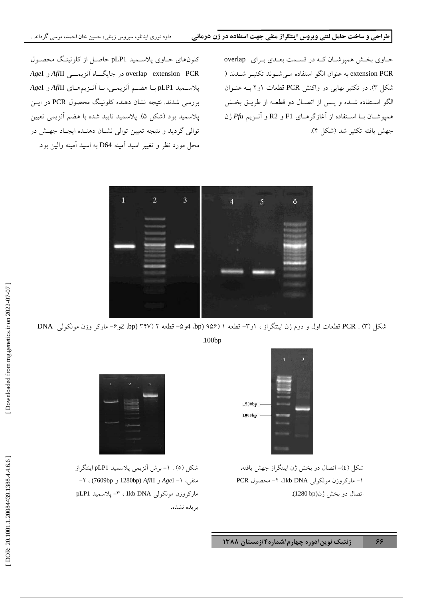حـاوي بخـش هميوشـان كــه در قســمت بعــدي بــراي \_overlap extension PCR به عنوان الگو استفاده مـي شــوند تكثيــر شــدند ( شکل ۳). در تکثیر نهایی در واکنش PCR قطعات ۱و۲ بـه عنــوان الگو اسـتفاده شـده و يــس از اتصــال دو قطعــه از طريــق بخــش همیوشــان بــا اســتفاده از آغازگرهــای F1 و R2 و آنــزیـ*م Pfu*ژن .۔<br>حهش بافته تکثیر شد (شکل ۴).

٦

کلونهای حــاوی پلاســمید pLP1حاصــل از کلونینـگ محصــول overlap extension PCR در جایگـــاه آنزیمــــ<sub>ی Af</sub>*I*II و AgeI .<br>يلاســميد pLP1 بــا هضــم آنزيمــي، بــا آنــزيمهــاي *Af*III و AgeI بررسی شدند. نتیجه نشان دهنده کلونینگ محصول PCR در ایــن .<br>بلاسمید بود (شکل ۵). بلاسمید تابید شده با هضم آنزیمر تعیین .<br>توالي گرديد و نتيجه تعيين توالي نشيان دهنيده ايجياد جهيش در .<br>محل مورد نظر و تغییر اسید اَمینه D64 به اسید اَمینه والین بود.



شکل (۳) . PCR قطعات اول و دوم ژن اینتگراز ، ۱و۳– قطعه ۱ (۹۵۶ (bp 4و۵– قطعه ۲ (۳۴۷ (bp 2و۶– مارکر وزن مولکولی ِ  $\overline{1}$ .100bp



شکل (٤)– اتصال دو بخش ژن اینتگراز جهش یافته، ۱- ماركروزن مولكولى Ikb DNA، ۲- محصول PCR اتصال دو بخش ژن(1280 bp).



شکل (٥) . ١- برش آنزیمي پلاسمید pLP1 اینتگراز . منفی، ۱– *Age*I و A*fl*III و 1280bp)، ۲– ماركروزن مولكولى Ikb DNA . ٣- پلاسميد pLP1 بريده نشده.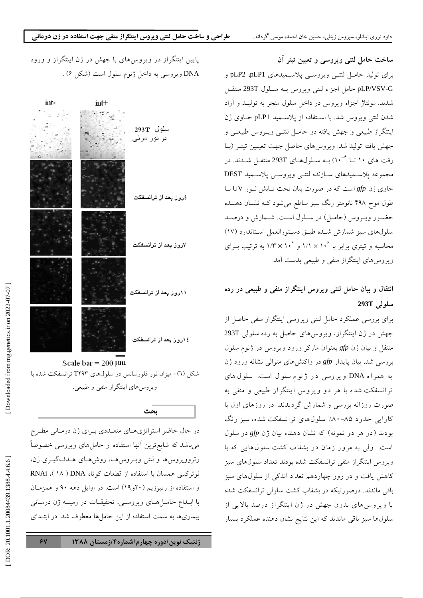ساخت حامل لنتی ویروسی و تعیین تیتر آن برای تولید حامـل لنتــی ویروســی یلاســمیدهای pLP2 ،pLP1 و .<br>pLP/VSV-G حامل اجزاء لنتبي ويووس بــه ســلول 293T منتقــل .<br>شدند. مونتاژ اجزاء ويروس در داخل سلول منجر به توليــد و آزاد .<br>شدن لنتبي ويروس شد. با اســتفاده از يلاســميد pLP1 حــاوي ژن .<br>ينتگراز طبيعي و جهش يافته دو حامــل لنتــي ويــروس طبيعــي و  $\overline{\phantom{a}}$ ۔<br>جھش یافته تولید شد. ویروس های حاصل جهت تعیین تبتیر (پیا رقت های ۱۰ تــا ۱۰<sup>-۶</sup> بـه سـلولهـای 293T منتقــل شــدند. در .<br>مجموعه يلاســميدهاي ســازنده لنتــي ويروســي يلاســميد DEST حاوی ژن gfp است که در صورت بیان تحت تــابش نــور UV بــا طول موج ۴۹۸ نانومتر رنگ سن ساطع مر شود کبه نشیان دهنده  $\vdots$ حضور وب وس (حامل) در سیلول است. شیمارش و درصد سلولهای سبز شمارش شبده طبق دستورالعمل استاندارد (۱۷) محاسبه و تیتری برابر با ۱۰<sup>۶ × ۱</sup>/۱ و ۱/۳ × ۱۰۴ به ترتیب بـرای ویروس های اینتگراز منفی و طبیعی بدست آمد.  $\overline{1}$ 

انتقال و بیان حامل لنتی ویروس اینتگراز منفی و طبیعی در رده سلولى 293T

.<br>برای بررسی عملکرد حامل لنتی ویروسی اینتگراز منفی حاصل از .<br>جهش در ژن اینتگراز، ویروس های حاصل به رده سلولی 293T منتقل و بیان ژن gfp بعنوان مارکر ورود ویروس در ژنوم سلول بررس<sub>ی</sub> شد. بیان پایدار *gfp* در واکنشهای متوالی نشانه ورود ژن .<br>به همر اه DNA ویروسی در ژنوم سلول است. سلول های .<br>تر انسفکت شده با هر دو ویروس اینتگراز طبیعی و منفی به صورت روزانه بررسی و شمارش گردیدند. در روزهای اول با کارایی حدود ۸۵-۸۰٪ سلولهای ترانسفکت شده، سبز رنگ بودند (در هر دو نمونه) که نشان دهنده بیان ژن gfp در سلول .<br>است. ولمی به مرور زمان در بشقاب کشت سلولهایی که با .<br>ویروس اینتگراز منفی ترانسفکت شده بودند تعداد سلولهای سبز .<br>کاهش یافت و در روز چهاردهم تعداد اندکی از سلولهای سبز .<br>باقر ماندند. درصورتیکه در بشقاب کشت سلولی ترانسفکت شده J .<br>با ویروس های بدون جهش در ژن اینتگراز درصد بالایی از J سلولها سبز باقر ماندند که این نتایج نشان دهنده عملکرد بسیار

.<br>بایین اینتگراز در ویروس های با جهش در ژن اینتگراز و ورود .<br>د .<br>DNA ویروسی به داخل ژنوم سلول است (شکل ۶) .



در حال حاضر استراتژیههای متعبددی به ای ژن درمیانی مطب*ر ح* می باشد که شایع ترین آنها استفاده از حامل های ویروسی خصوصاً J د تروویروس ها و لنتر وپ وسرها، دوش هیای هیدف گِسری ژن، .<br>نوترکیبی همسان با استفاده از قطعات کوتاه DNA ( ۱۸ )، RNAi و استفاده از ریبوزیم (۲۰و۱۹) است. در اوایل دهه ۹۰ و همزمـان .<br>با ابــداع حامــل هــاي ويـروســي، تحقيقــات در زمينــه ژن درمــاني J .<br>بیماریها به سمت استفاده از این حاملها معطوف شد. در ابتــدای

ىحث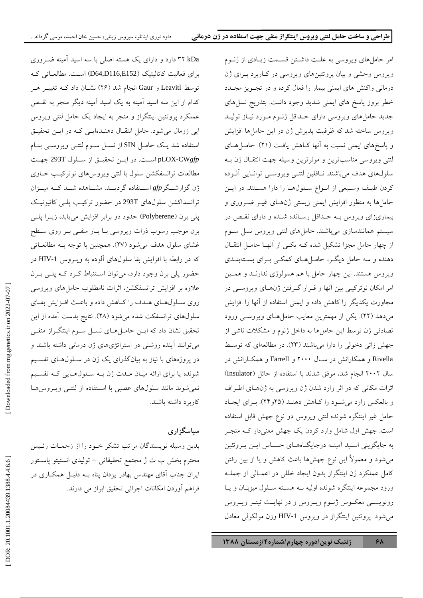۳۲ kDa دارد و دارای یک هسته اصلی با سه اسید آمینه ضــروری J برای فعالیت کاتالیتیک (D64,D116,E152) است. مطالعـاتی کــه توسط Leavitl و Gaur انجام شد (۲۶) نشــان داد کــه تغييــر هــر کدام از این سه اسید آمینه به یک اسید آمینه دیگر منجر به نقـص .<br>عملکرد پروتئین اینتگراز و منجر به ایجاد یک حامل لنتی ویروس ایی زومال میشود. حامل انتقــال دهنــدهایــی کــه در ایــن تحقیــق  $\overline{1}$ استفاده شد یـک حامــل SIN از نســل ســوم لنتــی ویروســی بنــام pLOX-CWgfp است. در ايـن تحقيـق از سـلول 293T جهـت .<br>مطالعات ترانسفکشن سلول با لنتر ویروس های نوترکیب جیاوی .<br>ژن گزارشــگر gfp اســـتفاده گردیـــد. مشـــاهده شـــد کـــه میـــزان .<br>ترانسداکشن سلولهای 293T در حضور ترکیب یلـی کاتیونیـک یلی برن (Polyberene) حدود دو برابر افزایش می یابد، زیــرا یلــی برن موجب رسوب ذرات و بروسے بیا بیار منفس بیر روی سیطح .<br>غشای سلول هدف مرشود (۲۷). همچنین با توجه بـه مطالعـاتر که در رابطه با افزایش بقا سلولهای آلوده به ویــروس HIV-1 در حضور بلي برن وجود دارد، مرتوان استنباط كيرد كيه بلير بيرن .<br>علاوه بر افزایش ترانسفکشن اثرات نامطلوب جامل های و بروسی دوی سیلول هیای هیدف را کیاهش داده و باعث افزایش بقیای .<br>سلولهای ترانسفکت شده می شود (۲۸). نتایج بدست آمده از این ۔<br>تحقیق نشان داد که ایــن حامــلهــای نســل ســوم اینتگــراز منفــی مر توانند آینده دوشنی در استراتژی های ژن درمانی داشته باشند و در پروژههای با نیاز به بیانگذرای یک ژن در سـلول@عای تقسـیم J شونده با برای ارائه میان میدت ژن بیه سیلولهبای کیه تقسییم .<br>نمی شوند مانند سلولهای عصبی با استفاده از لنتــی ویــروس هــا J کار بر د داشته باشند.

# سیاسگزاری

.<br>بدین وسیله نویسندگان مراتب تشکر خـود را از زحمـات رئـیس محترم بخش ب ث ژ محتمع تحقیقاتی – تولیدی انستیتو باستور بران جناب آقای مهندس بهادر بزدان بناه ب دلیل همکباری در  $\overline{a}$ .<br>فراهم آوردن امکانات اجرائ<sub>ی</sub> تحقیق ابراز می دارند.

امر حامل های ویروسی به علـت داشــتن قســمت زیــادی از ژنــوم و پروس وحشي و بيان پروتئين هاي ويروسي در ڪاربرد بيراي ژن درمانی واکنش های ایمنی بیمار را فعال کرده و در تجبویز مجبدد  $\overline{1}$ .<br>خطر بروز یاسخ های ایمنی شدید وجود داشت. بتدریج نسل های  $\overline{1}$ جدید حامل های ویروسی دارای حـداقل ژنـوم مـورد نیــاز تولیــد و بروس ساخته شد که ظرفت بذیرش ژن در این جاملها افزایش و باسخ های ایمنی نسبت به آنها کیاهش بافت (۲۱). جامبا هیای  $\overline{1}$ لنتي ويووسي مناسب ترين و موثر ترين وسيله جهت انتقبال ژن سه سلولهای هدف مرباشند. نیاقلین لنتس و یووسس توانیایی آلبوده J کردن طیف وسیعی از انبواع سلولها را دارا هستند. در این ۔<br>حامل ها به منظور افزایش ایمنی زیستی ژنهـای غیــر ضــروری و .<br>بیماریزای ویروس بــه حــداقل رســانده شــده و دارای نقــص در سیستم همانندسازی میباشند. حاملهای لنتی ویروس نسل سـوم  $\overline{a}$ از چهار حامل مجزا تشکیل شده کــه یکــی از آنهــا حامــل انتقــال دهنده و سه حامل دیگ ، حامل هیای کمکس ب ای بستهبندی و پروس هستند. این چهار حامل با هم همولوژی ندارنید و همین  $\overline{a}$ امر امکان نوتر کیبر بین آنها و قبرار گ فتن ژنهبای ویروست در .<br>مجاورت یکدیگر را کاهش داده و ایمنی استفاده از آنها را افزایش می دهد (۲۲). یکی از مهمترین معایب حامل هـای ویروســی ورود .<br>تصادفی ژن توسط این حاملها به داخل ژنوم و مشکلات ناشی از جهش زائی دخولی را دارا می باشند (۲۳). در مطالعهای که توسیط  $\overline{\phantom{a}}$ J .<br>Rivella و همکارانش در ســال ۲۰۰۰ و Farrell و همکــارانش در .<br>سال ۲۰۰۲ انجام شد، موفق شدند با استفاده از حائل (Insulator) اثرات مکانی که در اثر وارد شدن ژن و پروسی به ژنهبای اطبراف و بالعکس وارد مرشیود را کیاهش دهنید (۲۵و ۲۴). ب ای ایجباد  $\overline{1}$ ۔<br>حامل غیر اینتگرہ شوندہ لنتر ویروس دو نوع جھش قابل استفادہ است. جھش اول شامل وارد کردن یک جھش معنے دار کے منجے به جایگزینی استید آمینه در جایگیاههای حسیاس این ب و تئین می شود و معمولاً این نوع جهش ها باعث کاهش و یا از بین رفتن کامل عملکرد ژن اینتگراز بدون ایجاد خللی در اعمــالی از جملــه ورود محموعه اینتگره شونده اولیه به هسته سیلول میزبیان و پیا .<br>دونو بست معکس ژنسوم و پروس و در نهایت تبت و پروس می شود. یروتئین اینتگراز در ویروس HIV-1 وزن مولکولی معادل